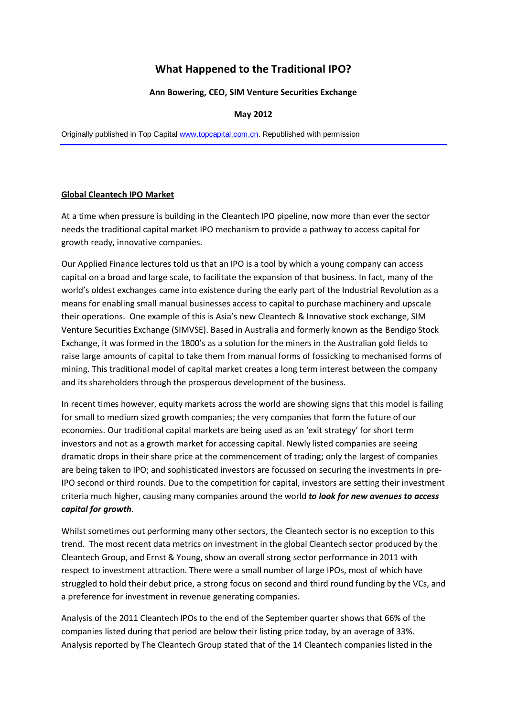# **What Happened to the Traditional IPO?**

### **Ann Bowering, CEO, SIM Venture Securities Exchange**

### **May 2012**

Originally published in Top Capital [www.topcapital.com.cn.](http://www.topcapital.com.cn/) Republished with permission

#### **Global Cleantech IPO Market**

At a time when pressure is building in the Cleantech IPO pipeline, now more than ever the sector needs the traditional capital market IPO mechanism to provide a pathway to access capital for growth ready, innovative companies.

Our Applied Finance lectures told us that an IPO is a tool by which a young company can access capital on a broad and large scale, to facilitate the expansion of that business. In fact, many of the world's oldest exchanges came into existence during the early part of the Industrial Revolution as a means for enabling small manual businesses access to capital to purchase machinery and upscale their operations. One example of this is Asia's new Cleantech & Innovative stock exchange, SIM Venture Securities Exchange (SIMVSE). Based in Australia and formerly known as the Bendigo Stock Exchange, it was formed in the 1800's as a solution for the miners in the Australian gold fields to raise large amounts of capital to take them from manual forms of fossicking to mechanised forms of mining. This traditional model of capital market creates a long term interest between the company and its shareholders through the prosperous development of the business.

In recent times however, equity markets across the world are showing signs that this model is failing for small to medium sized growth companies; the very companies that form the future of our economies. Our traditional capital markets are being used as an 'exit strategy' for short term investors and not as a growth market for accessing capital. Newly listed companies are seeing dramatic drops in their share price at the commencement of trading; only the largest of companies are being taken to IPO; and sophisticated investors are focussed on securing the investments in pre-IPO second or third rounds. Due to the competition for capital, investors are setting their investment criteria much higher, causing many companies around the world *to look for new avenues to access capital for growth.*

Whilst sometimes out performing many other sectors, the Cleantech sector is no exception to this trend. The most recent data metrics on investment in the global Cleantech sector produced by the Cleantech Group, and Ernst & Young, show an overall strong sector performance in 2011 with respect to investment attraction. There were a small number of large IPOs, most of which have struggled to hold their debut price, a strong focus on second and third round funding by the VCs, and a preference for investment in revenue generating companies.

Analysis of the 2011 Cleantech IPOs to the end of the September quarter shows that 66% of the companies listed during that period are below their listing price today, by an average of 33%. Analysis reported by The Cleantech Group stated that of the 14 Cleantech companies listed in the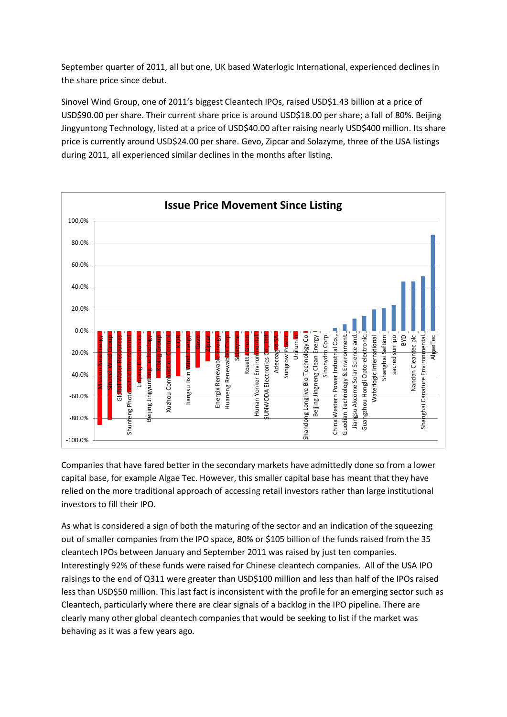September quarter of 2011, all but one, UK based Waterlogic International, experienced declines in the share price since debut.

Sinovel Wind Group, one of 2011's biggest Cleantech IPOs, raised USD\$1.43 billion at a price of USD\$90.00 per share. Their current share price is around USD\$18.00 per share; a fall of 80%. Beijing Jingyuntong Technology, listed at a price of USD\$40.00 after raising nearly USD\$400 million. Its share price is currently around USD\$24.00 per share. Gevo, Zipcar and Solazyme, three of the USA listings during 2011, all experienced similar declines in the months after listing.



Companies that have fared better in the secondary markets have admittedly done so from a lower capital base, for example Algae Tec. However, this smaller capital base has meant that they have relied on the more traditional approach of accessing retail investors rather than large institutional investors to fill their IPO.

As what is considered a sign of both the maturing of the sector and an indication of the squeezing out of smaller companies from the IPO space, 80% or \$105 billion of the funds raised from the 35 cleantech IPOs between January and September 2011 was raised by just ten companies. Interestingly 92% of these funds were raised for Chinese cleantech companies. All of the USA IPO raisings to the end of Q311 were greater than USD\$100 million and less than half of the IPOs raised less than USD\$50 million. This last fact is inconsistent with the profile for an emerging sector such as Cleantech, particularly where there are clear signals of a backlog in the IPO pipeline. There are clearly many other global cleantech companies that would be seeking to list if the market was behaving as it was a few years ago.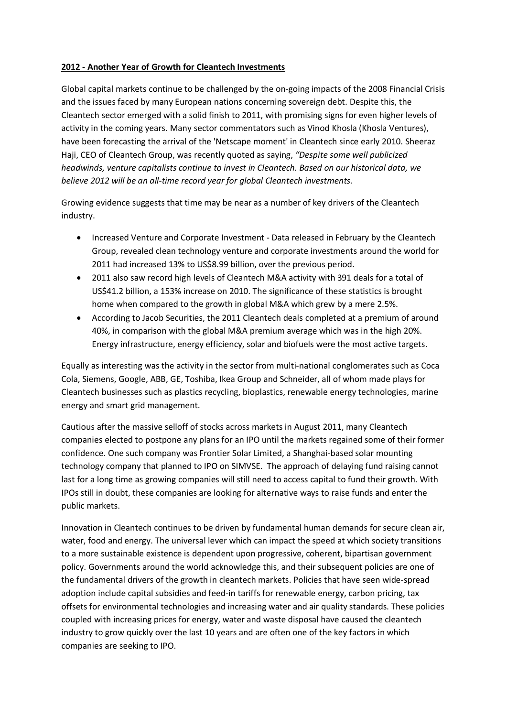# **2012 - Another Year of Growth for Cleantech Investments**

Global capital markets continue to be challenged by the on-going impacts of the 2008 Financial Crisis and the issues faced by many European nations concerning sovereign debt. Despite this, the Cleantech sector emerged with a solid finish to 2011, with promising signs for even higher levels of activity in the coming years. Many sector commentators such as Vinod Khosla (Khosla Ventures), have been forecasting the arrival of the 'Netscape moment' in Cleantech since early 2010. Sheeraz Haji, CEO of Cleantech Group, was recently quoted as saying, *"Despite some well publicized headwinds, venture capitalists continue to invest in Cleantech. Based on our historical data, we believe 2012 will be an all-time record year for global Cleantech investments.*

Growing evidence suggests that time may be near as a number of key drivers of the Cleantech industry.

- Increased Venture and Corporate Investment Data released in February by the Cleantech Group, revealed clean technology venture and corporate investments around the world for 2011 had increased 13% to US\$8.99 billion, over the previous period.
- 2011 also saw record high levels of Cleantech M&A activity with 391 deals for a total of US\$41.2 billion, a 153% increase on 2010. The significance of these statistics is brought home when compared to the growth in global M&A which grew by a mere 2.5%.
- According to Jacob Securities, the 2011 Cleantech deals completed at a premium of around 40%, in comparison with the global M&A premium average which was in the high 20%. Energy infrastructure, energy efficiency, solar and biofuels were the most active targets.

Equally as interesting was the activity in the sector from multi-national conglomerates such as Coca Cola, Siemens, Google, ABB, GE, Toshiba, Ikea Group and Schneider, all of whom made plays for Cleantech businesses such as plastics recycling, bioplastics, renewable energy technologies, marine energy and smart grid management.

Cautious after the massive selloff of stocks across markets in August 2011, many Cleantech companies elected to postpone any plans for an IPO until the markets regained some of their former confidence. One such company was Frontier Solar Limited, a Shanghai-based solar mounting technology company that planned to IPO on SIMVSE. The approach of delaying fund raising cannot last for a long time as growing companies will still need to access capital to fund their growth. With IPOs still in doubt, these companies are looking for alternative ways to raise funds and enter the public markets.

Innovation in Cleantech continues to be driven by fundamental human demands for secure clean air, water, food and energy. The universal lever which can impact the speed at which society transitions to a more sustainable existence is dependent upon progressive, coherent, bipartisan government policy. Governments around the world acknowledge this, and their subsequent policies are one of the fundamental drivers of the growth in cleantech markets. Policies that have seen wide-spread adoption include capital subsidies and feed-in tariffs for renewable energy, carbon pricing, tax offsets for environmental technologies and increasing water and air quality standards. These policies coupled with increasing prices for energy, water and waste disposal have caused the cleantech industry to grow quickly over the last 10 years and are often one of the key factors in which companies are seeking to IPO.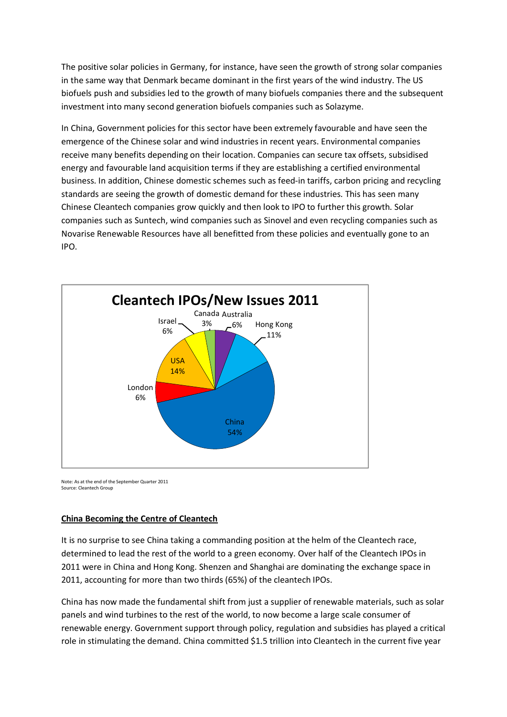The positive solar policies in Germany, for instance, have seen the growth of strong solar companies in the same way that Denmark became dominant in the first years of the wind industry. The US biofuels push and subsidies led to the growth of many biofuels companies there and the subsequent investment into many second generation biofuels companies such as Solazyme.

In China, Government policies for this sector have been extremely favourable and have seen the emergence of the Chinese solar and wind industries in recent years. Environmental companies receive many benefits depending on their location. Companies can secure tax offsets, subsidised energy and favourable land acquisition terms if they are establishing a certified environmental business. In addition, Chinese domestic schemes such as feed-in tariffs, carbon pricing and recycling standards are seeing the growth of domestic demand for these industries. This has seen many Chinese Cleantech companies grow quickly and then look to IPO to further this growth. Solar companies such as Suntech, wind companies such as Sinovel and even recycling companies such as Novarise Renewable Resources have all benefitted from these policies and eventually gone to an IPO.



Note: As at the end of the September Quarter 2011 Source: Cleantech Group

# **China Becoming the Centre of Cleantech**

It is no surprise to see China taking a commanding position at the helm of the Cleantech race, determined to lead the rest of the world to a green economy. Over half of the Cleantech IPOs in 2011 were in China and Hong Kong. Shenzen and Shanghai are dominating the exchange space in 2011, accounting for more than two thirds (65%) of the cleantech IPOs.

China has now made the fundamental shift from just a supplier of renewable materials, such as solar panels and wind turbines to the rest of the world, to now become a large scale consumer of renewable energy. Government support through policy, regulation and subsidies has played a critical role in stimulating the demand. China committed \$1.5 trillion into Cleantech in the current five year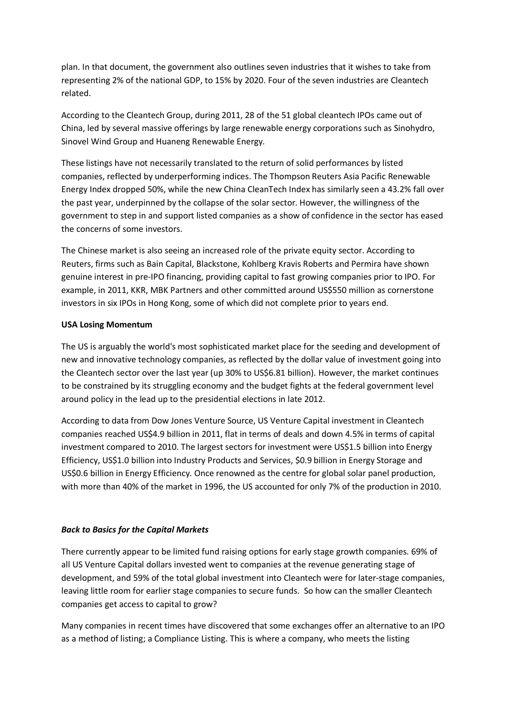plan. In that document, the government also outlines seven industries that it wishes to take from representing 2% of the national GDP, to 15% by 2020. Four of the seven industries are Cleantech related.

According to the Cleantech Group, during 2011, 28 of the 51 global cleantech IPOs came out of China, led by several massive offerings by large renewable energy corporations such as Sinohydro, Sinovel Wind Group and Huaneng Renewable Energy.

These listings have not necessarily translated to the return of solid performances by listed companies, reflected by underperforming indices. The Thompson Reuters Asia Pacific Renewable Energy Index dropped 50%, while the new China CleanTech Index has similarly seen a 43.2% fall over the past year, underpinned by the collapse of the solar sector. However, the willingness of the government to step in and support listed companies as a show of confidence in the sector has eased the concerns of some investors.

The Chinese market is also seeing an increased role of the private equity sector. According to Reuters, firms such as Bain Capital, Blackstone, Kohlberg Kravis Roberts and Permira have shown genuine interest in pre-IPO financing, providing capital to fast growing companies prior to IPO. For example, in 2011, KKR, MBK Partners and other committed around US\$550 million as cornerstone investors in six IPOs in Hong Kong, some of which did not complete prior to years end.

### **USA Losing Momentum**

The US is arguably the world's most sophisticated market place for the seeding and development of new and innovative technology companies, as reflected by the dollar value of investment going into the Cleantech sector over the last year (up 30% to US\$6.81 billion). However, the market continues to be constrained by its struggling economy and the budget fights at the federal government level around policy in the lead up to the presidential elections in late 2012.

According to data from Dow Jones Venture Source, US Venture Capital investment in Cleantech companies reached US\$4.9 billion in 2011, flat in terms of deals and down 4.5% in terms of capital investment compared to 2010. The largest sectors for investment were US\$1.5 billion into Energy Efficiency, US\$1.0 billion into Industry Products and Services, \$0.9 billion in Energy Storage and US\$0.6 billion in Energy Efficiency. Once renowned as the centre for global solar panel production, with more than 40% of the market in 1996, the US accounted for only 7% of the production in 2010.

# *Back to Basics for the Capital Markets*

There currently appear to be limited fund raising options for early stage growth companies. 69% of all US Venture Capital dollars invested went to companies at the revenue generating stage of development, and 59% of the total global investment into Cleantech were for later-stage companies, leaving little room for earlier stage companies to secure funds. So how can the smaller Cleantech companies get access to capital to grow?

Many companies in recent times have discovered that some exchanges offer an alternative to an IPO as a method of listing; a Compliance Listing. This is where a company, who meets the listing